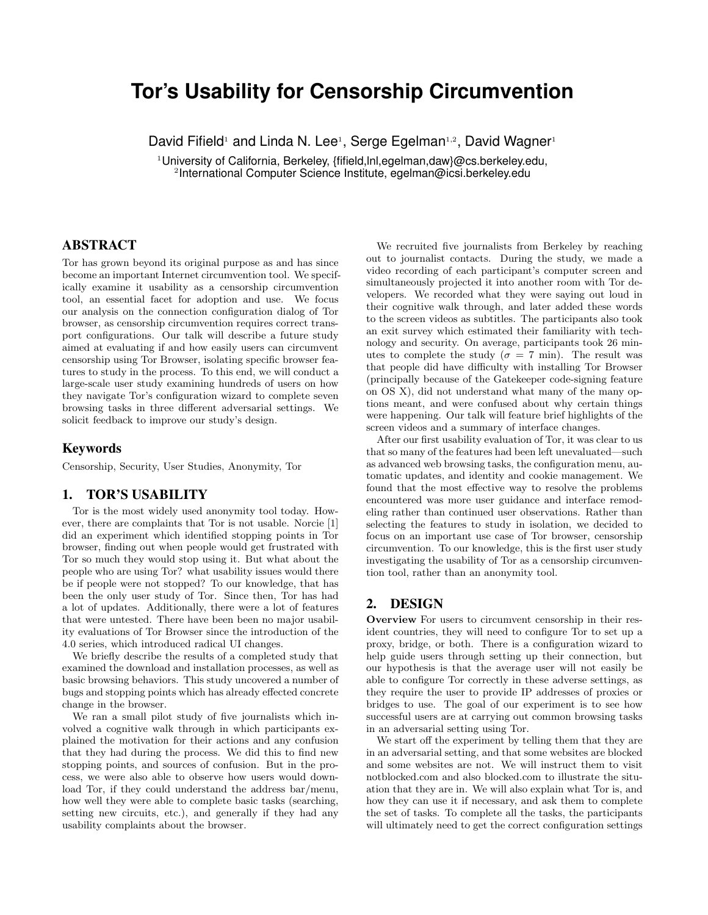# **Tor's Usability for Censorship Circumvention**

David Fifield<sup>1</sup> and Linda N. Lee<sup>1</sup>, Serge Egelman<sup>1,2</sup>, David Wagner<sup>1</sup>

<sup>1</sup>University of California, Berkeley, {fifield,lnl,egelman,daw}@cs.berkeley.edu, 2 International Computer Science Institute, egelman@icsi.berkeley.edu

## ABSTRACT

Tor has grown beyond its original purpose as and has since become an important Internet circumvention tool. We specifically examine it usability as a censorship circumvention tool, an essential facet for adoption and use. We focus our analysis on the connection configuration dialog of Tor browser, as censorship circumvention requires correct transport configurations. Our talk will describe a future study aimed at evaluating if and how easily users can circumvent censorship using Tor Browser, isolating specific browser features to study in the process. To this end, we will conduct a large-scale user study examining hundreds of users on how they navigate Tor's configuration wizard to complete seven browsing tasks in three different adversarial settings. We solicit feedback to improve our study's design.

#### Keywords

Censorship, Security, User Studies, Anonymity, Tor

## 1. TOR'S USABILITY

Tor is the most widely used anonymity tool today. However, there are complaints that Tor is not usable. Norcie [1] did an experiment which identified stopping points in Tor browser, finding out when people would get frustrated with Tor so much they would stop using it. But what about the people who are using Tor? what usability issues would there be if people were not stopped? To our knowledge, that has been the only user study of Tor. Since then, Tor has had a lot of updates. Additionally, there were a lot of features that were untested. There have been been no major usability evaluations of Tor Browser since the introduction of the 4.0 series, which introduced radical UI changes.

We briefly describe the results of a completed study that examined the download and installation processes, as well as basic browsing behaviors. This study uncovered a number of bugs and stopping points which has already effected concrete change in the browser.

We ran a small pilot study of five journalists which involved a cognitive walk through in which participants explained the motivation for their actions and any confusion that they had during the process. We did this to find new stopping points, and sources of confusion. But in the process, we were also able to observe how users would download Tor, if they could understand the address bar/menu, how well they were able to complete basic tasks (searching, setting new circuits, etc.), and generally if they had any usability complaints about the browser.

We recruited five journalists from Berkeley by reaching out to journalist contacts. During the study, we made a video recording of each participant's computer screen and simultaneously projected it into another room with Tor developers. We recorded what they were saying out loud in their cognitive walk through, and later added these words to the screen videos as subtitles. The participants also took an exit survey which estimated their familiarity with technology and security. On average, participants took 26 minutes to complete the study ( $\sigma = 7$  min). The result was that people did have difficulty with installing Tor Browser (principally because of the Gatekeeper code-signing feature on OS X), did not understand what many of the many options meant, and were confused about why certain things were happening. Our talk will feature brief highlights of the screen videos and a summary of interface changes.

After our first usability evaluation of Tor, it was clear to us that so many of the features had been left unevaluated—such as advanced web browsing tasks, the configuration menu, automatic updates, and identity and cookie management. We found that the most effective way to resolve the problems encountered was more user guidance and interface remodeling rather than continued user observations. Rather than selecting the features to study in isolation, we decided to focus on an important use case of Tor browser, censorship circumvention. To our knowledge, this is the first user study investigating the usability of Tor as a censorship circumvention tool, rather than an anonymity tool.

#### 2. DESIGN

Overview For users to circumvent censorship in their resident countries, they will need to configure Tor to set up a proxy, bridge, or both. There is a configuration wizard to help guide users through setting up their connection, but our hypothesis is that the average user will not easily be able to configure Tor correctly in these adverse settings, as they require the user to provide IP addresses of proxies or bridges to use. The goal of our experiment is to see how successful users are at carrying out common browsing tasks in an adversarial setting using Tor.

We start off the experiment by telling them that they are in an adversarial setting, and that some websites are blocked and some websites are not. We will instruct them to visit notblocked.com and also blocked.com to illustrate the situation that they are in. We will also explain what Tor is, and how they can use it if necessary, and ask them to complete the set of tasks. To complete all the tasks, the participants will ultimately need to get the correct configuration settings